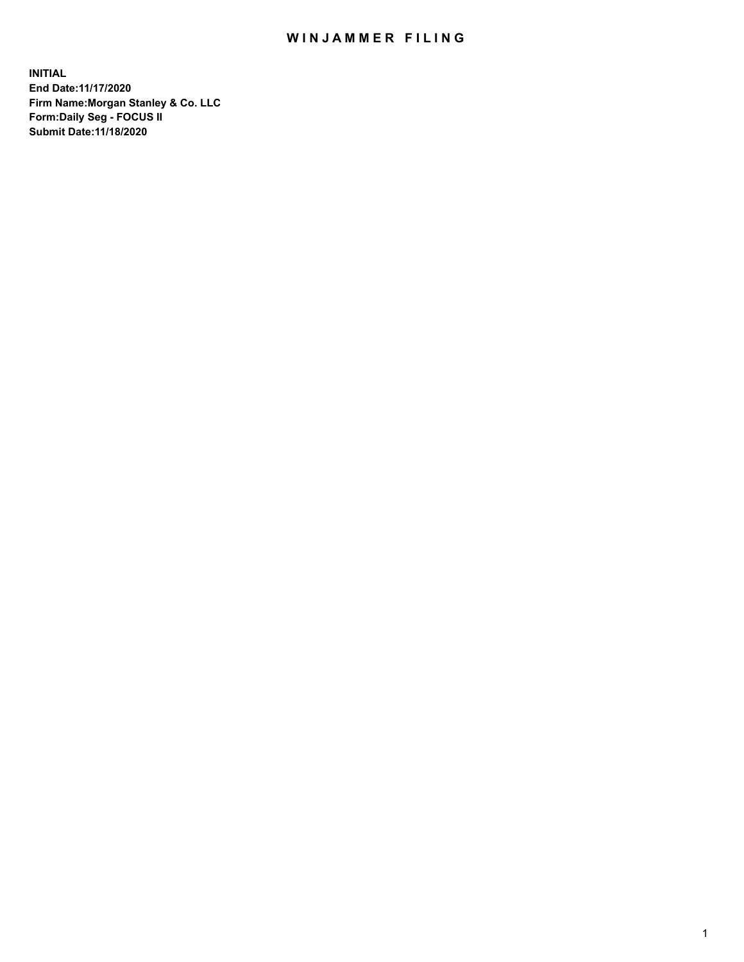## WIN JAMMER FILING

**INITIAL End Date:11/17/2020 Firm Name:Morgan Stanley & Co. LLC Form:Daily Seg - FOCUS II Submit Date:11/18/2020**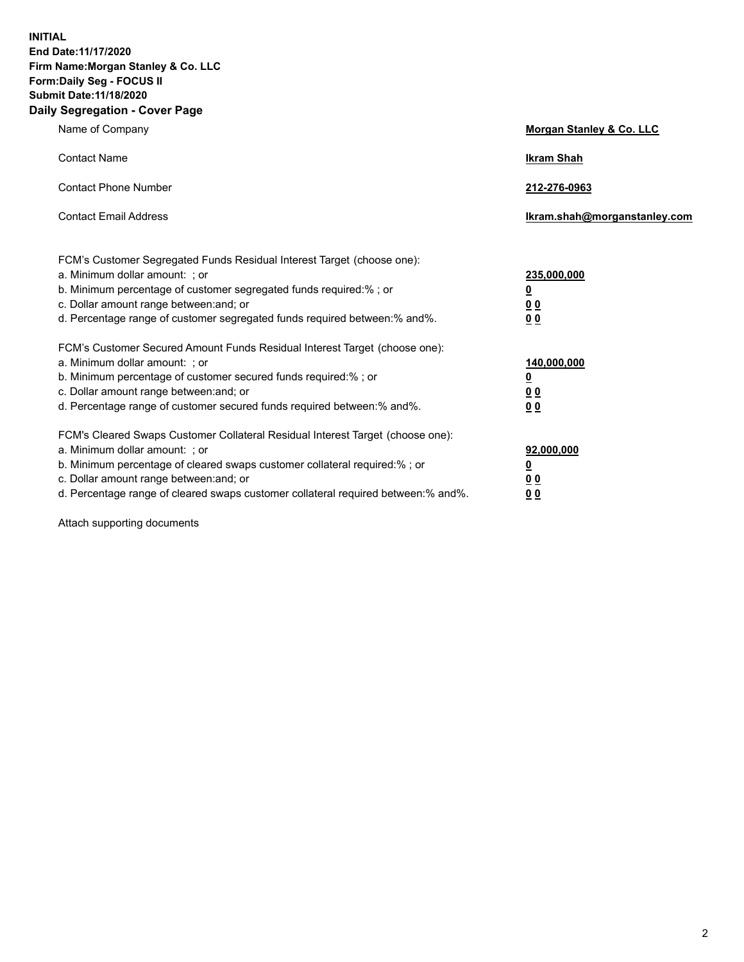**INITIAL End Date:11/17/2020 Firm Name:Morgan Stanley & Co. LLC Form:Daily Seg - FOCUS II Submit Date:11/18/2020 Daily Segregation - Cover Page**

| Name of Company                                                                                                                                                                                                                                                                                                                | Morgan Stanley & Co. LLC                                |
|--------------------------------------------------------------------------------------------------------------------------------------------------------------------------------------------------------------------------------------------------------------------------------------------------------------------------------|---------------------------------------------------------|
| <b>Contact Name</b>                                                                                                                                                                                                                                                                                                            | <b>Ikram Shah</b>                                       |
| <b>Contact Phone Number</b>                                                                                                                                                                                                                                                                                                    | 212-276-0963                                            |
| <b>Contact Email Address</b>                                                                                                                                                                                                                                                                                                   | Ikram.shah@morganstanley.com                            |
| FCM's Customer Segregated Funds Residual Interest Target (choose one):<br>a. Minimum dollar amount: ; or<br>b. Minimum percentage of customer segregated funds required:%; or<br>c. Dollar amount range between: and; or<br>d. Percentage range of customer segregated funds required between: % and %.                        | 235,000,000<br><u>0</u><br>00<br>0 Q                    |
| FCM's Customer Secured Amount Funds Residual Interest Target (choose one):<br>a. Minimum dollar amount: ; or<br>b. Minimum percentage of customer secured funds required:%; or<br>c. Dollar amount range between: and; or<br>d. Percentage range of customer secured funds required between:% and%.                            | 140,000,000<br><u>0</u><br><u>0 0</u><br>0 <sub>0</sub> |
| FCM's Cleared Swaps Customer Collateral Residual Interest Target (choose one):<br>a. Minimum dollar amount: ; or<br>b. Minimum percentage of cleared swaps customer collateral required:% ; or<br>c. Dollar amount range between: and; or<br>d. Percentage range of cleared swaps customer collateral required between:% and%. | 92,000,000<br><u>0</u><br><u>00</u><br>00               |

Attach supporting documents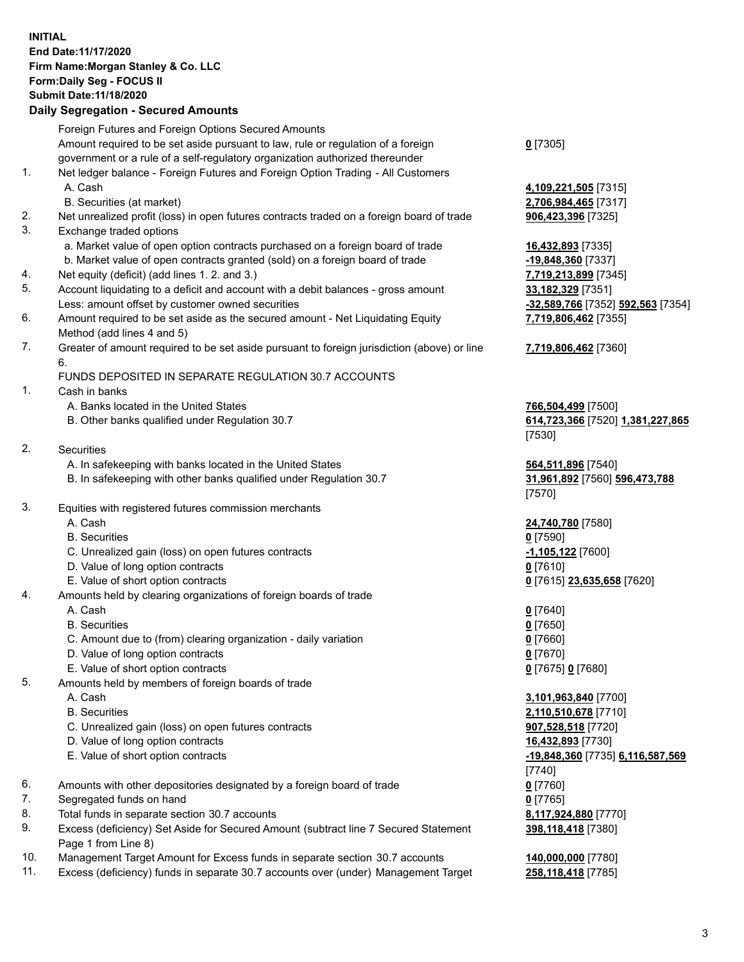## **INITIAL End Date:11/17/2020 Firm Name:Morgan Stanley & Co. LLC Form:Daily Seg - FOCUS II Submit Date:11/18/2020**

## **Daily Segregation - Secured Amounts**

|          | Foreign Futures and Foreign Options Secured Amounts                                                        |                                |
|----------|------------------------------------------------------------------------------------------------------------|--------------------------------|
|          | Amount required to be set aside pursuant to law, rule or regulation of a foreign                           | $0$ [7305]                     |
|          | government or a rule of a self-regulatory organization authorized thereunder                               |                                |
| 1.       | Net ledger balance - Foreign Futures and Foreign Option Trading - All Customers                            |                                |
|          | A. Cash                                                                                                    | 4,109,221,505 [7315]           |
|          | B. Securities (at market)                                                                                  | 2,706,984,465 [7317]           |
| 2.<br>3. | Net unrealized profit (loss) in open futures contracts traded on a foreign board of trade                  | 906,423,396 [7325]             |
|          | Exchange traded options<br>a. Market value of open option contracts purchased on a foreign board of trade  | 16,432,893 [7335]              |
|          | b. Market value of open contracts granted (sold) on a foreign board of trade                               | -19,848,360 [7337]             |
| 4.       | Net equity (deficit) (add lines 1.2. and 3.)                                                               | 7,719,213,899 [7345]           |
| 5.       | Account liquidating to a deficit and account with a debit balances - gross amount                          | 33,182,329 [7351]              |
|          | Less: amount offset by customer owned securities                                                           | -32,589,766 [7352] 59          |
| 6.       | Amount required to be set aside as the secured amount - Net Liquidating Equity                             | 7,719,806,462 [7355]           |
|          | Method (add lines 4 and 5)                                                                                 |                                |
| 7.       | Greater of amount required to be set aside pursuant to foreign jurisdiction (above) or line                | 7,719,806,462 [7360]           |
|          | 6.                                                                                                         |                                |
|          | FUNDS DEPOSITED IN SEPARATE REGULATION 30.7 ACCOUNTS                                                       |                                |
| 1.       | Cash in banks                                                                                              |                                |
|          | A. Banks located in the United States                                                                      | 766,504,499 [7500]             |
|          | B. Other banks qualified under Regulation 30.7                                                             | 614,723,366 [7520] 1           |
|          |                                                                                                            | [7530]                         |
| 2.       | <b>Securities</b>                                                                                          |                                |
|          | A. In safekeeping with banks located in the United States                                                  | 564,511,896 [7540]             |
|          | B. In safekeeping with other banks qualified under Regulation 30.7                                         | 31,961,892 [7560] 59<br>[7570] |
| 3.       | Equities with registered futures commission merchants                                                      |                                |
|          | A. Cash                                                                                                    | 24,740,780 [7580]              |
|          | <b>B.</b> Securities                                                                                       | $0$ [7590]                     |
|          | C. Unrealized gain (loss) on open futures contracts                                                        | -1,105,122 <sup>[7600]</sup>   |
|          | D. Value of long option contracts                                                                          | $0$ [7610]                     |
|          | E. Value of short option contracts                                                                         | 0 [7615] 23,635,658            |
| 4.       | Amounts held by clearing organizations of foreign boards of trade                                          |                                |
|          | A. Cash                                                                                                    | $0$ [7640]                     |
|          | <b>B.</b> Securities                                                                                       | $0$ [7650]                     |
|          | C. Amount due to (from) clearing organization - daily variation                                            | $0$ [7660]                     |
|          | D. Value of long option contracts                                                                          | $0$ [7670]                     |
|          | E. Value of short option contracts                                                                         | 0 [7675] 0 [7680]              |
| 5.       | Amounts held by members of foreign boards of trade                                                         |                                |
|          | A. Cash                                                                                                    | 3,101,963,840 [7700]           |
|          | <b>B.</b> Securities                                                                                       | 2,110,510,678 [7710]           |
|          | C. Unrealized gain (loss) on open futures contracts                                                        | 907,528,518 [7720]             |
|          | D. Value of long option contracts                                                                          | 16,432,893 [7730]              |
|          | E. Value of short option contracts                                                                         | -19,848,360 [7735] 6.          |
|          |                                                                                                            | [7740]                         |
| 6.       | Amounts with other depositories designated by a foreign board of trade                                     | $0$ [7760]                     |
| 7.       | Segregated funds on hand                                                                                   | $0$ [7765]                     |
| 8.       | Total funds in separate section 30.7 accounts                                                              | 8,117,924,880 [7770]           |
| 9.       | Excess (deficiency) Set Aside for Secured Amount (subtract line 7 Secured Statement<br>Page 1 from Line 8) | 398,118,418 [7380]             |

- 10. Management Target Amount for Excess funds in separate section 30.7 accounts **140,000,000** [7780]
- 11. Excess (deficiency) funds in separate 30.7 accounts over (under) Management Target **258,118,418** [7785]

Less: amount offset by customer owned securities **-32,589,766** [7352] **592,563** [7354] **7,719,806,462** [7355]

B. Other banks qualified under Regulation 30.7 **614,723,366** [7520] **1,381,227,865**

B. In safekeeping with other banks qualified under Regulation 30.7 **31,961,892** [7560] **596,473,788**

**3,635,658** [7620]

 E. Value of short option contracts **-19,848,360** [7735] **6,116,587,569 398,118,418** [7380]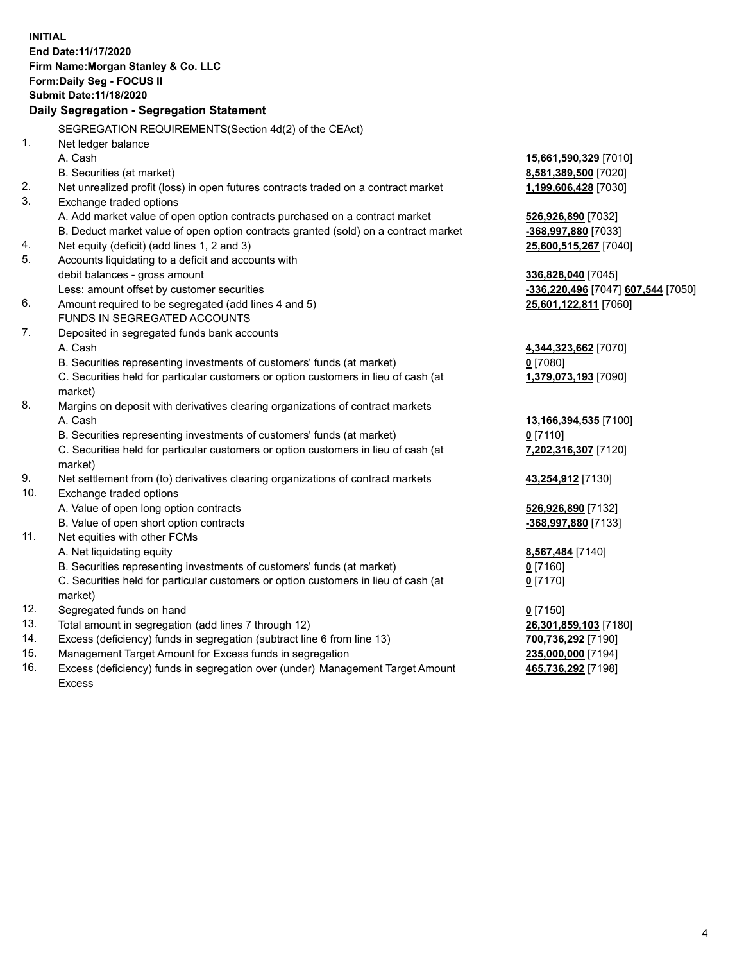|     | <b>INITIAL</b><br>End Date: 11/17/2020<br>Firm Name: Morgan Stanley & Co. LLC<br>Form: Daily Seg - FOCUS II |                                    |
|-----|-------------------------------------------------------------------------------------------------------------|------------------------------------|
|     | Submit Date: 11/18/2020                                                                                     |                                    |
|     | Daily Segregation - Segregation Statement                                                                   |                                    |
|     | SEGREGATION REQUIREMENTS(Section 4d(2) of the CEAct)                                                        |                                    |
| 1.  | Net ledger balance                                                                                          |                                    |
|     | A. Cash                                                                                                     | 15,661,590,329 [7010]              |
|     | B. Securities (at market)                                                                                   | 8,581,389,500 [7020]               |
| 2.  | Net unrealized profit (loss) in open futures contracts traded on a contract market                          | 1,199,606,428 [7030]               |
| 3.  | Exchange traded options                                                                                     |                                    |
|     | A. Add market value of open option contracts purchased on a contract market                                 | 526,926,890 [7032]                 |
|     | B. Deduct market value of open option contracts granted (sold) on a contract market                         | -368,997,880 [7033]                |
| 4.  | Net equity (deficit) (add lines 1, 2 and 3)                                                                 | 25,600,515,267 [7040]              |
| 5.  | Accounts liquidating to a deficit and accounts with                                                         |                                    |
|     | debit balances - gross amount                                                                               | 336,828,040 [7045]                 |
|     | Less: amount offset by customer securities                                                                  | -336,220,496 [7047] 607,544 [7050] |
| 6.  | Amount required to be segregated (add lines 4 and 5)                                                        | 25,601,122,811 [7060]              |
|     | FUNDS IN SEGREGATED ACCOUNTS                                                                                |                                    |
| 7.  | Deposited in segregated funds bank accounts                                                                 |                                    |
|     | A. Cash                                                                                                     | 4,344,323,662 [7070]               |
|     | B. Securities representing investments of customers' funds (at market)                                      | $0$ [7080]                         |
|     | C. Securities held for particular customers or option customers in lieu of cash (at                         | 1,379,073,193 [7090]               |
|     | market)                                                                                                     |                                    |
| 8.  | Margins on deposit with derivatives clearing organizations of contract markets                              |                                    |
|     | A. Cash                                                                                                     | 13,166,394,535 [7100]              |
|     | B. Securities representing investments of customers' funds (at market)                                      | $0$ [7110]                         |
|     | C. Securities held for particular customers or option customers in lieu of cash (at<br>market)              | 7,202,316,307 [7120]               |
| 9.  | Net settlement from (to) derivatives clearing organizations of contract markets                             | 43,254,912 [7130]                  |
| 10. | Exchange traded options                                                                                     |                                    |
|     | A. Value of open long option contracts                                                                      | 526,926,890 [7132]                 |
|     | B. Value of open short option contracts                                                                     | -368,997,880 [7133]                |
| 11. | Net equities with other FCMs                                                                                |                                    |
|     | A. Net liquidating equity                                                                                   | 8,567,484 [7140]                   |
|     | B. Securities representing investments of customers' funds (at market)                                      | $0$ [7160]                         |
|     | C. Securities held for particular customers or option customers in lieu of cash (at<br>market)              | $0$ [7170]                         |
| 12. | Segregated funds on hand                                                                                    | $0$ [7150]                         |
| 13. | Total amount in segregation (add lines 7 through 12)                                                        | 26,301,859,103 [7180]              |
| 14. | Excess (deficiency) funds in segregation (subtract line 6 from line 13)                                     | 700,736,292 [7190]                 |
| 15. | Management Target Amount for Excess funds in segregation                                                    | 235,000,000 [7194]                 |
| 16. | Excess (deficiency) funds in segregation over (under) Management Target Amount                              | 465,736,292 [7198]                 |

Excess